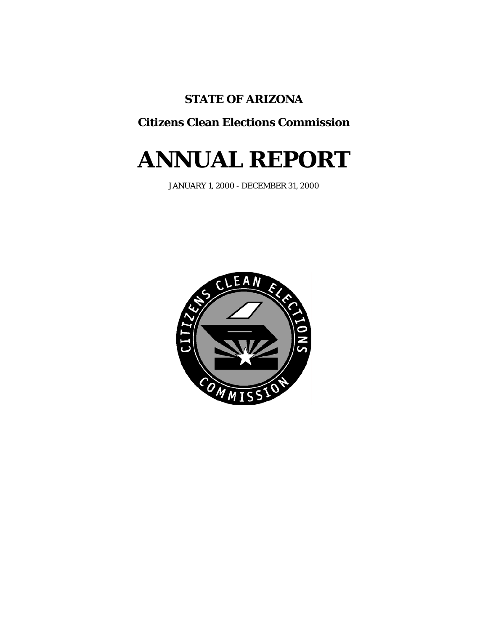# **STATE OF ARIZONA**

# **Citizens Clean Elections Commission**

# **ANNUAL REPORT**

JANUARY 1, 2000 - DECEMBER 31, 2000

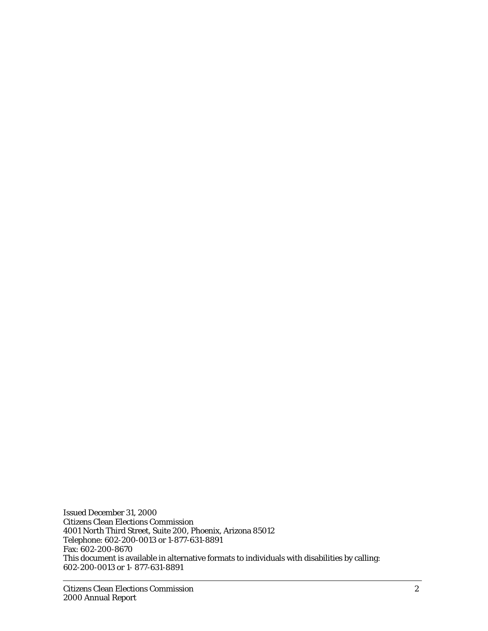Issued December 31, 2000 Citizens Clean Elections Commission 4001 North Third Street, Suite 200, Phoenix, Arizona 85012 Telephone: 602-200-0013 or 1-877-631-8891 Fax: 602-200-8670 This document is available in alternative formats to individuals with disabilities by calling: 602-200-0013 or 1- 877-631-8891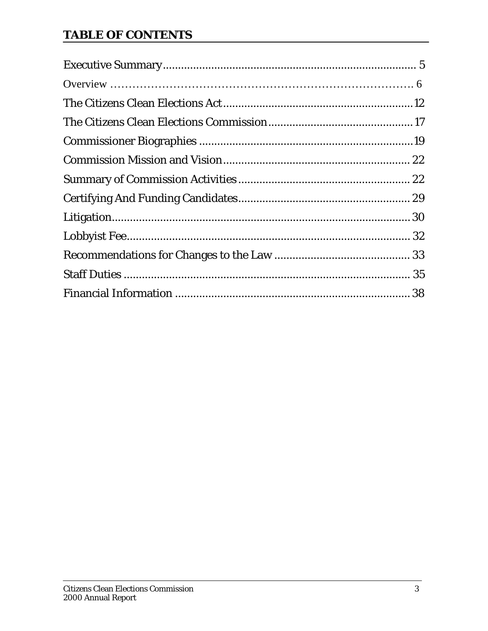# **TABLE OF CONTENTS**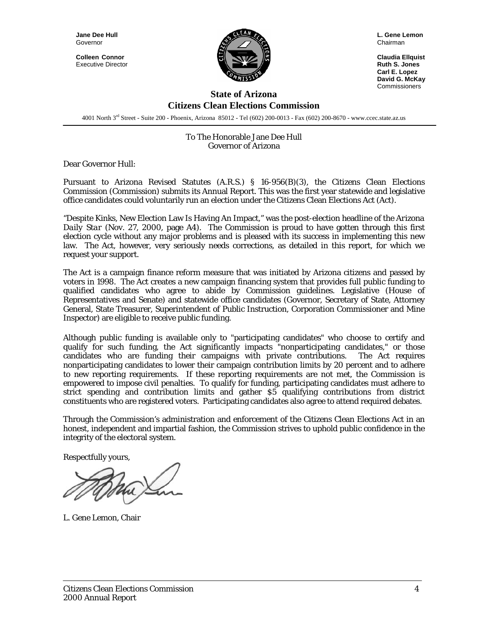**Jane Dee Hull**  Governor

**Colleen Connor**  Executive Director



**L. Gene Lemon**  Chairman

**Claudia Ellquist Ruth S. Jones Carl E. Lopez David G. McKay**  Commissioners

#### **State of Arizona Citizens Clean Elections Commission**

4001 North 3rd Street - Suite 200 - Phoenix, Arizona 85012 - Tel (602) 200-0013 - Fax (602) 200-8670 - www.ccec.state.az.us

#### To The Honorable Jane Dee Hull Governor of Arizona

Dear Governor Hull:

Pursuant to Arizona Revised Statutes (A.R.S.) § 16-956(B)(3), the Citizens Clean Elections Commission (Commission) submits its Annual Report. This was the first year statewide and legislative office candidates could voluntarily run an election under the Citizens Clean Elections Act (Act).

"Despite Kinks, New Election Law Is Having An Impact," was the post-election headline of the *Arizona Daily Star* (Nov. 27, 2000, page A4). The Commission is proud to have gotten through this first election cycle without any major problems and is pleased with its success in implementing this new law. The Act, however, very seriously needs corrections, as detailed in this report, for which we request your support.

The Act is a campaign finance reform measure that was initiated by Arizona citizens and passed by voters in 1998. The Act creates a new campaign financing system that provides full public funding to qualified candidates who agree to abide by Commission guidelines. Legislative (House of Representatives and Senate) and statewide office candidates (Governor, Secretary of State, Attorney General, State Treasurer, Superintendent of Public Instruction, Corporation Commissioner and Mine Inspector) are eligible to receive public funding.

Although public funding is available only to "participating candidates" who choose to certify and qualify for such funding, the Act significantly impacts "nonparticipating candidates," or those candidates who are funding their campaigns with private contributions. The Act requires nonparticipating candidates to lower their campaign contribution limits by 20 percent and to adhere to new reporting requirements. If these reporting requirements are not met, the Commission is empowered to impose civil penalties. To qualify for funding, participating candidates must adhere to strict spending and contribution limits and gather \$5 qualifying contributions from district constituents who are registered voters. Participating candidates also agree to attend required debates.

Through the Commission's administration and enforcement of the Citizens Clean Elections Act in an honest, independent and impartial fashion, the Commission strives to uphold public confidence in the integrity of the electoral system.

Respectfully yours,

L. Gene Lemon, Chair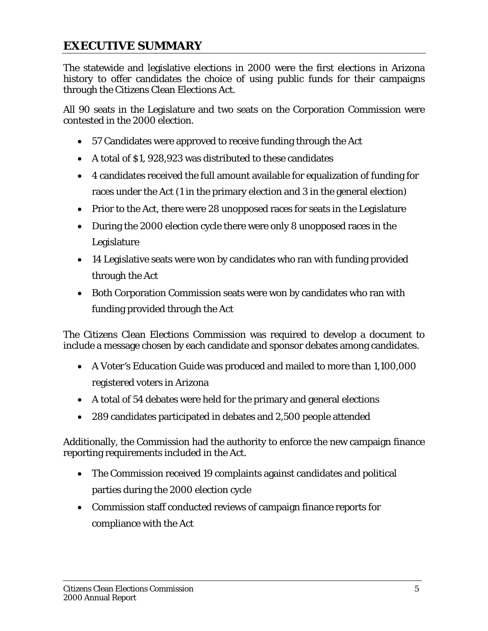# **EXECUTIVE SUMMARY**

The statewide and legislative elections in 2000 were the first elections in Arizona history to offer candidates the choice of using public funds for their campaigns through the Citizens Clean Elections Act.

All 90 seats in the Legislature and two seats on the Corporation Commission were contested in the 2000 election.

- 57 Candidates were approved to receive funding through the Act
- A total of \$1, 928,923 was distributed to these candidates
- 4 candidates received the full amount available for equalization of funding for races under the Act (1 in the primary election and 3 in the general election)
- Prior to the Act, there were 28 unopposed races for seats in the Legislature
- During the 2000 election cycle there were only 8 unopposed races in the Legislature
- 14 Legislative seats were won by candidates who ran with funding provided through the Act
- Both Corporation Commission seats were won by candidates who ran with funding provided through the Act

The Citizens Clean Elections Commission was required to develop a document to include a message chosen by each candidate and sponsor debates among candidates.

- A *Voter's Education Guide* was produced and mailed to more than 1,100,000 registered voters in Arizona
- A total of 54 debates were held for the primary and general elections
- 289 candidates participated in debates and 2,500 people attended

Additionally, the Commission had the authority to enforce the new campaign finance reporting requirements included in the Act.

- The Commission received 19 complaints against candidates and political parties during the 2000 election cycle
- Commission staff conducted reviews of campaign finance reports for compliance with the Act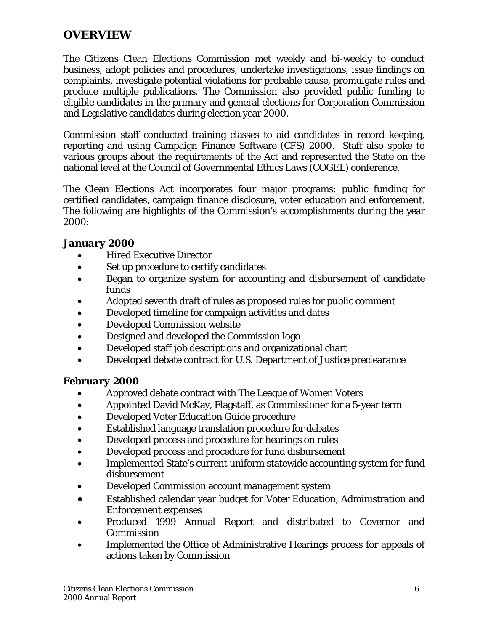#### **OVERVIEW**

The Citizens Clean Elections Commission met weekly and bi-weekly to conduct business, adopt policies and procedures, undertake investigations, issue findings on complaints, investigate potential violations for probable cause, promulgate rules and produce multiple publications. The Commission also provided public funding to eligible candidates in the primary and general elections for Corporation Commission and Legislative candidates during election year 2000.

Commission staff conducted training classes to aid candidates in record keeping, reporting and using Campaign Finance Software (CFS) 2000. Staff also spoke to various groups about the requirements of the Act and represented the State on the national level at the Council of Governmental Ethics Laws (COGEL) conference.

The Clean Elections Act incorporates four major programs: public funding for certified candidates, campaign finance disclosure, voter education and enforcement. The following are highlights of the Commission's accomplishments during the year 2000:

#### *January 2000*

- Hired Executive Director
- Set up procedure to certify candidates
- Began to organize system for accounting and disbursement of candidate funds
- Adopted seventh draft of rules as proposed rules for public comment
- Developed timeline for campaign activities and dates
- Developed Commission website
- Designed and developed the Commission logo
- Developed staff job descriptions and organizational chart
- Developed debate contract for U.S. Department of Justice preclearance

#### *February 2000*

- Approved debate contract with The League of Women Voters
- Appointed David McKay, Flagstaff, as Commissioner for a 5-year term
- Developed Voter Education Guide procedure
- Established language translation procedure for debates
- Developed process and procedure for hearings on rules
- Developed process and procedure for fund disbursement
- Implemented State's current uniform statewide accounting system for fund disbursement
- Developed Commission account management system
- Established calendar year budget for Voter Education, Administration and Enforcement expenses
- Produced 1999 Annual Report and distributed to Governor and **Commission**
- Implemented the Office of Administrative Hearings process for appeals of actions taken by Commission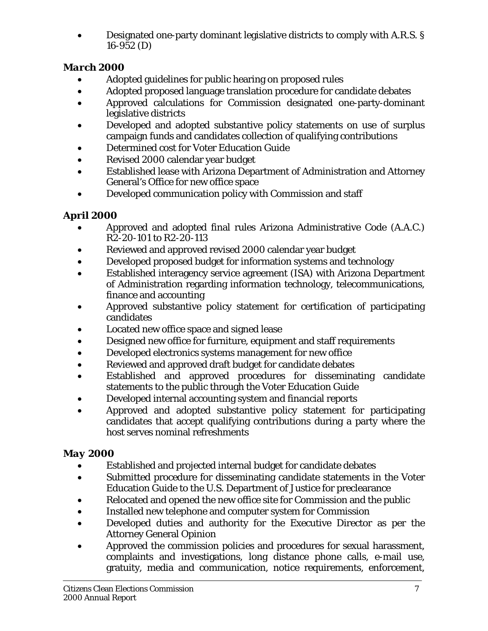• Designated one-party dominant legislative districts to comply with A.R.S. § 16-952 (D)

# *March 2000*

- Adopted guidelines for public hearing on proposed rules
- Adopted proposed language translation procedure for candidate debates
- Approved calculations for Commission designated one-party-dominant legislative districts
- Developed and adopted substantive policy statements on use of surplus campaign funds and candidates collection of qualifying contributions
- Determined cost for Voter Education Guide
- Revised 2000 calendar year budget
- Established lease with Arizona Department of Administration and Attorney General's Office for new office space
- Developed communication policy with Commission and staff

# *April 2000*

- Approved and adopted final rules Arizona Administrative Code (A.A.C.) R2-20-101 to R2-20-113
- Reviewed and approved revised 2000 calendar year budget
- Developed proposed budget for information systems and technology
- Established interagency service agreement (ISA) with Arizona Department of Administration regarding information technology, telecommunications, finance and accounting
- Approved substantive policy statement for certification of participating candidates
- Located new office space and signed lease
- Designed new office for furniture, equipment and staff requirements
- Developed electronics systems management for new office
- Reviewed and approved draft budget for candidate debates
- Established and approved procedures for disseminating candidate statements to the public through the Voter Education Guide
- Developed internal accounting system and financial reports
- Approved and adopted substantive policy statement for participating candidates that accept qualifying contributions during a party where the host serves nominal refreshments

# *May 2000*

- Established and projected internal budget for candidate debates
- Submitted procedure for disseminating candidate statements in the Voter Education Guide to the U.S. Department of Justice for preclearance
- Relocated and opened the new office site for Commission and the public
- Installed new telephone and computer system for Commission
- Developed duties and authority for the Executive Director as per the Attorney General Opinion
- Approved the commission policies and procedures for sexual harassment, complaints and investigations, long distance phone calls, e-mail use, gratuity, media and communication, notice requirements, enforcement,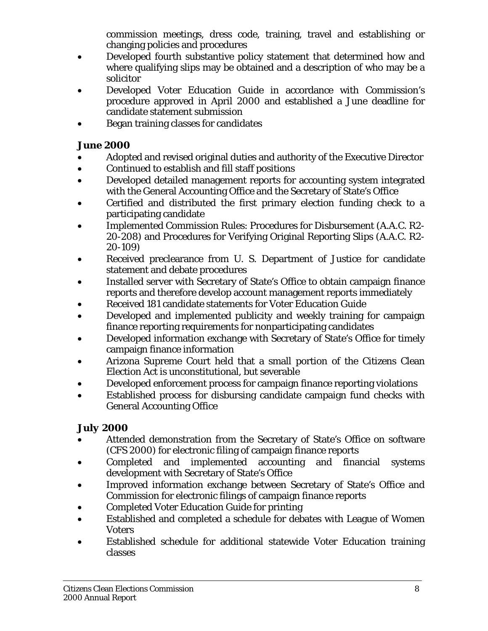commission meetings, dress code, training, travel and establishing or changing policies and procedures

- Developed fourth substantive policy statement that determined how and where qualifying slips may be obtained and a description of who may be a solicitor
- Developed Voter Education Guide in accordance with Commission's procedure approved in April 2000 and established a June deadline for candidate statement submission
- Began training classes for candidates

## *June 2000*

- Adopted and revised original duties and authority of the Executive Director
- Continued to establish and fill staff positions
- Developed detailed management reports for accounting system integrated with the General Accounting Office and the Secretary of State's Office
- Certified and distributed the first primary election funding check to a participating candidate
- Implemented Commission Rules: Procedures for Disbursement (A.A.C. R2- 20-208) and Procedures for Verifying Original Reporting Slips (A.A.C. R2- 20-109)
- Received preclearance from U. S. Department of Justice for candidate statement and debate procedures
- Installed server with Secretary of State's Office to obtain campaign finance reports and therefore develop account management reports immediately
- Received 181 candidate statements for Voter Education Guide
- Developed and implemented publicity and weekly training for campaign finance reporting requirements for nonparticipating candidates
- Developed information exchange with Secretary of State's Office for timely campaign finance information
- Arizona Supreme Court held that a small portion of the Citizens Clean Election Act is unconstitutional, but severable
- Developed enforcement process for campaign finance reporting violations
- Established process for disbursing candidate campaign fund checks with General Accounting Office

## *July 2000*

- Attended demonstration from the Secretary of State's Office on software (CFS 2000) for electronic filing of campaign finance reports
- Completed and implemented accounting and financial systems development with Secretary of State's Office
- Improved information exchange between Secretary of State's Office and Commission for electronic filings of campaign finance reports
- Completed Voter Education Guide for printing
- Established and completed a schedule for debates with League of Women **Voters**
- Established schedule for additional statewide Voter Education training classes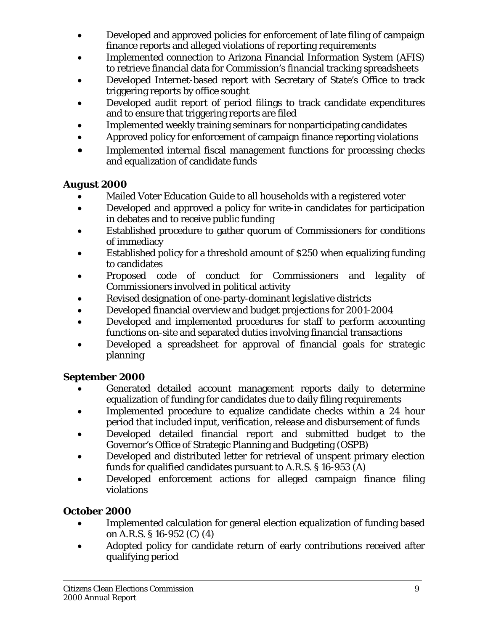- Developed and approved policies for enforcement of late filing of campaign finance reports and alleged violations of reporting requirements
- Implemented connection to Arizona Financial Information System (AFIS) to retrieve financial data for Commission's financial tracking spreadsheets
- Developed Internet-based report with Secretary of State's Office to track triggering reports by office sought
- Developed audit report of period filings to track candidate expenditures and to ensure that triggering reports are filed
- Implemented weekly training seminars for nonparticipating candidates
- Approved policy for enforcement of campaign finance reporting violations
- Implemented internal fiscal management functions for processing checks and equalization of candidate funds

## *August 2000*

- Mailed Voter Education Guide to all households with a registered voter
- Developed and approved a policy for write-in candidates for participation in debates and to receive public funding
- Established procedure to gather quorum of Commissioners for conditions of immediacy
- Established policy for a threshold amount of \$250 when equalizing funding to candidates
- Proposed code of conduct for Commissioners and legality of Commissioners involved in political activity
- Revised designation of one-party-dominant legislative districts
- Developed financial overview and budget projections for 2001-2004
- Developed and implemented procedures for staff to perform accounting functions on-site and separated duties involving financial transactions
- Developed a spreadsheet for approval of financial goals for strategic planning

# *September 2000*

- Generated detailed account management reports daily to determine equalization of funding for candidates due to daily filing requirements
- Implemented procedure to equalize candidate checks within a 24 hour period that included input, verification, release and disbursement of funds
- Developed detailed financial report and submitted budget to the Governor's Office of Strategic Planning and Budgeting (OSPB)
- Developed and distributed letter for retrieval of unspent primary election funds for qualified candidates pursuant to A.R.S. § 16-953 (A)
- Developed enforcement actions for alleged campaign finance filing violations

# *October 2000*

- Implemented calculation for general election equalization of funding based on A.R.S. § 16-952 (C) (4)
- Adopted policy for candidate return of early contributions received after qualifying period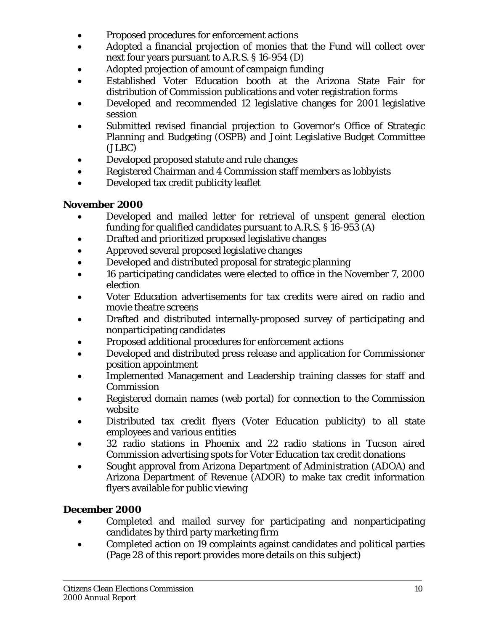- Proposed procedures for enforcement actions
- Adopted a financial projection of monies that the Fund will collect over next four years pursuant to A.R.S. § 16-954 (D)
- Adopted projection of amount of campaign funding
- Established Voter Education booth at the Arizona State Fair for distribution of Commission publications and voter registration forms
- Developed and recommended 12 legislative changes for 2001 legislative session
- Submitted revised financial projection to Governor's Office of Strategic Planning and Budgeting (OSPB) and Joint Legislative Budget Committee (JLBC)
- Developed proposed statute and rule changes
- Registered Chairman and 4 Commission staff members as lobbyists
- Developed tax credit publicity leaflet

## *November 2000*

- Developed and mailed letter for retrieval of unspent general election funding for qualified candidates pursuant to A.R.S. § 16-953 (A)
- Drafted and prioritized proposed legislative changes
- Approved several proposed legislative changes
- Developed and distributed proposal for strategic planning
- 16 participating candidates were elected to office in the November 7, 2000 election
- Voter Education advertisements for tax credits were aired on radio and movie theatre screens
- Drafted and distributed internally-proposed survey of participating and nonparticipating candidates
- Proposed additional procedures for enforcement actions
- Developed and distributed press release and application for Commissioner position appointment
- Implemented Management and Leadership training classes for staff and **Commission**
- Registered domain names (web portal) for connection to the Commission website
- Distributed tax credit flyers (Voter Education publicity) to all state employees and various entities
- 32 radio stations in Phoenix and 22 radio stations in Tucson aired Commission advertising spots for Voter Education tax credit donations
- Sought approval from Arizona Department of Administration (ADOA) and Arizona Department of Revenue (ADOR) to make tax credit information flyers available for public viewing

## *December 2000*

- Completed and mailed survey for participating and nonparticipating candidates by third party marketing firm
- Completed action on 19 complaints against candidates and political parties (Page 28 of this report provides more details on this subject)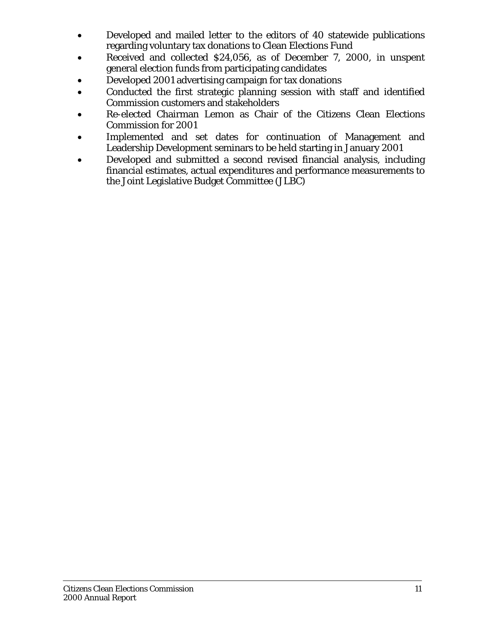- Developed and mailed letter to the editors of 40 statewide publications regarding voluntary tax donations to Clean Elections Fund
- Received and collected \$24,056, as of December 7, 2000, in unspent general election funds from participating candidates
- Developed 2001 advertising campaign for tax donations
- Conducted the first strategic planning session with staff and identified Commission customers and stakeholders
- Re-elected Chairman Lemon as Chair of the Citizens Clean Elections Commission for 2001
- Implemented and set dates for continuation of Management and Leadership Development seminars to be held starting in January 2001
- Developed and submitted a second revised financial analysis, including financial estimates, actual expenditures and performance measurements to the Joint Legislative Budget Committee (JLBC)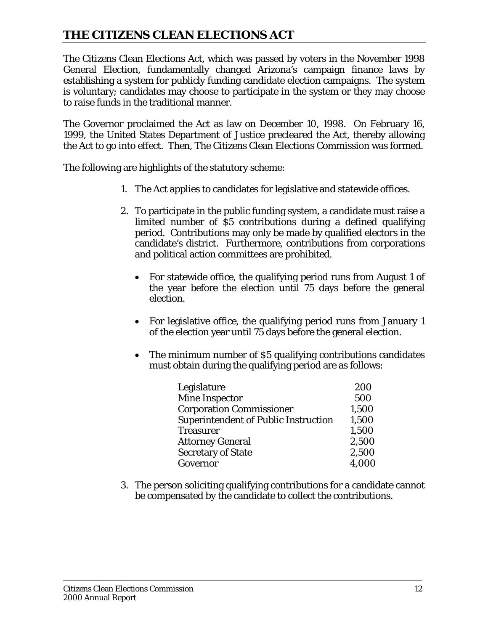# **THE CITIZENS CLEAN ELECTIONS ACT**

The Citizens Clean Elections Act, which was passed by voters in the November 1998 General Election, fundamentally changed Arizona's campaign finance laws by establishing a system for publicly funding candidate election campaigns. The system is voluntary; candidates may choose to participate in the system or they may choose to raise funds in the traditional manner.

The Governor proclaimed the Act as law on December 10, 1998. On February 16, 1999, the United States Department of Justice precleared the Act, thereby allowing the Act to go into effect. Then, The Citizens Clean Elections Commission was formed.

The following are highlights of the statutory scheme:

- 1. The Act applies to candidates for legislative and statewide offices.
- 2. To participate in the public funding system, a candidate must raise a limited number of \$5 contributions during a defined qualifying period. Contributions may only be made by qualified electors in the candidate's district. Furthermore, contributions from corporations and political action committees are prohibited.
	- For statewide office, the qualifying period runs from August 1 of the year before the election until 75 days before the general election.
	- For legislative office, the qualifying period runs from January 1 of the election year until 75 days before the general election.
	- The minimum number of \$5 qualifying contributions candidates must obtain during the qualifying period are as follows:

| Legislature                                 | 200   |
|---------------------------------------------|-------|
| <b>Mine Inspector</b>                       | 500   |
| <b>Corporation Commissioner</b>             | 1,500 |
| <b>Superintendent of Public Instruction</b> | 1,500 |
| <b>Treasurer</b>                            | 1,500 |
| <b>Attorney General</b>                     | 2,500 |
| <b>Secretary of State</b>                   | 2,500 |
| Governor                                    | 4,000 |

3. The person soliciting qualifying contributions for a candidate cannot be compensated by the candidate to collect the contributions.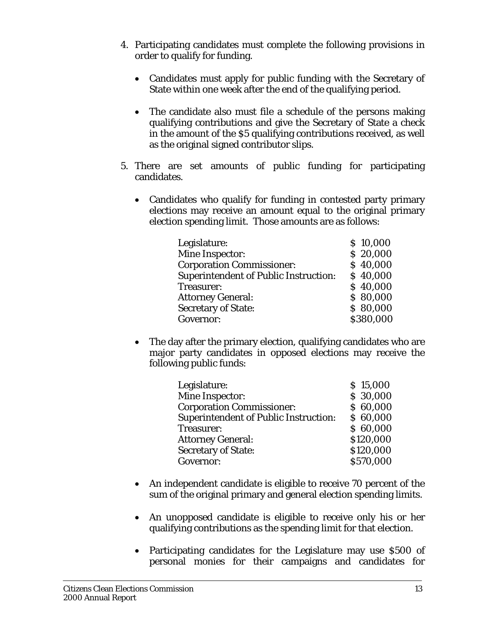- 4. Participating candidates must complete the following provisions in order to qualify for funding.
	- Candidates must apply for public funding with the Secretary of State within one week after the end of the qualifying period.
	- The candidate also must file a schedule of the persons making qualifying contributions and give the Secretary of State a check in the amount of the \$5 qualifying contributions received, as well as the original signed contributor slips.
- 5. There are set amounts of public funding for participating candidates.
	- Candidates who qualify for funding in contested party primary elections may receive an amount equal to the original primary election spending limit. Those amounts are as follows:

| Legislature:                                 | \$10,000  |
|----------------------------------------------|-----------|
| Mine Inspector:                              | \$20,000  |
| <b>Corporation Commissioner:</b>             | \$40,000  |
| <b>Superintendent of Public Instruction:</b> | \$40,000  |
| Treasurer:                                   | \$40,000  |
| <b>Attorney General:</b>                     | \$80,000  |
| <b>Secretary of State:</b>                   | \$80,000  |
| Governor:                                    | \$380,000 |

The day after the primary election, qualifying candidates who are major party candidates in opposed elections may receive the following public funds:

| Legislature:                                 | \$15,000  |
|----------------------------------------------|-----------|
| Mine Inspector:                              | \$ 30,000 |
| <b>Corporation Commissioner:</b>             | \$60,000  |
| <b>Superintendent of Public Instruction:</b> | \$60,000  |
| Treasurer:                                   | \$60,000  |
| <b>Attorney General:</b>                     | \$120,000 |
| <b>Secretary of State:</b>                   | \$120,000 |
| Governor:                                    | \$570,000 |

- An independent candidate is eligible to receive 70 percent of the sum of the original primary and general election spending limits.
- An unopposed candidate is eligible to receive only his or her qualifying contributions as the spending limit for that election.
- Participating candidates for the Legislature may use \$500 of personal monies for their campaigns and candidates for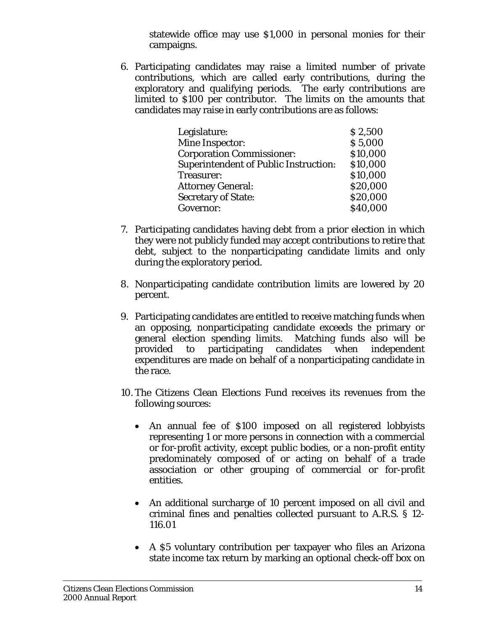statewide office may use \$1,000 in personal monies for their campaigns.

6. Participating candidates may raise a limited number of private contributions, which are called early contributions, during the exploratory and qualifying periods. The early contributions are limited to \$100 per contributor. The limits on the amounts that candidates may raise in early contributions are as follows:

| Legislature:                                 | \$2,500  |
|----------------------------------------------|----------|
| Mine Inspector:                              | \$5,000  |
| <b>Corporation Commissioner:</b>             | \$10,000 |
| <b>Superintendent of Public Instruction:</b> | \$10,000 |
| Treasurer:                                   | \$10,000 |
| <b>Attorney General:</b>                     | \$20,000 |
| <b>Secretary of State:</b>                   | \$20,000 |
| Governor:                                    | \$40,000 |

- 7. Participating candidates having debt from a prior election in which they were not publicly funded may accept contributions to retire that debt, subject to the nonparticipating candidate limits and only during the exploratory period.
- 8. Nonparticipating candidate contribution limits are lowered by 20 percent.
- 9. Participating candidates are entitled to receive matching funds when an opposing, nonparticipating candidate exceeds the primary or general election spending limits. Matching funds also will be provided to participating candidates when independent expenditures are made on behalf of a nonparticipating candidate in the race.
- 10. The Citizens Clean Elections Fund receives its revenues from the following sources:
	- An annual fee of \$100 imposed on all registered lobbyists representing 1 or more persons in connection with a commercial or for-profit activity, except public bodies, or a non-profit entity predominately composed of or acting on behalf of a trade association or other grouping of commercial or for-profit entities.
	- An additional surcharge of 10 percent imposed on all civil and criminal fines and penalties collected pursuant to A.R.S. § 12- 116.01
	- A \$5 voluntary contribution per taxpayer who files an Arizona state income tax return by marking an optional check-off box on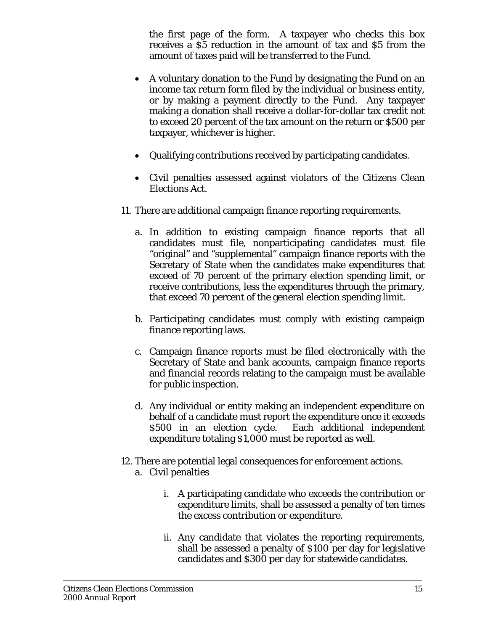the first page of the form. A taxpayer who checks this box receives a \$5 reduction in the amount of tax and \$5 from the amount of taxes paid will be transferred to the Fund.

- A voluntary donation to the Fund by designating the Fund on an income tax return form filed by the individual or business entity, or by making a payment directly to the Fund. Any taxpayer making a donation shall receive a dollar-for-dollar tax credit not to exceed 20 percent of the tax amount on the return or \$500 per taxpayer, whichever is higher.
- Qualifying contributions received by participating candidates.
- Civil penalties assessed against violators of the Citizens Clean Elections Act.
- 11. There are additional campaign finance reporting requirements.
	- a. In addition to existing campaign finance reports that all candidates must file, nonparticipating candidates must file "original" and "supplemental" campaign finance reports with the Secretary of State when the candidates make expenditures that exceed of 70 percent of the primary election spending limit, or receive contributions, less the expenditures through the primary, that exceed 70 percent of the general election spending limit.
	- b. Participating candidates must comply with existing campaign finance reporting laws.
	- c. Campaign finance reports must be filed electronically with the Secretary of State and bank accounts, campaign finance reports and financial records relating to the campaign must be available for public inspection.
	- d. Any individual or entity making an independent expenditure on behalf of a candidate must report the expenditure once it exceeds \$500 in an election cycle. Each additional independent expenditure totaling \$1,000 must be reported as well.
- 12. There are potential legal consequences for enforcement actions. a. Civil penalties
	- i. A participating candidate who exceeds the contribution or expenditure limits, shall be assessed a penalty of ten times the excess contribution or expenditure.
	- ii. Any candidate that violates the reporting requirements, shall be assessed a penalty of \$100 per day for legislative candidates and \$300 per day for statewide candidates.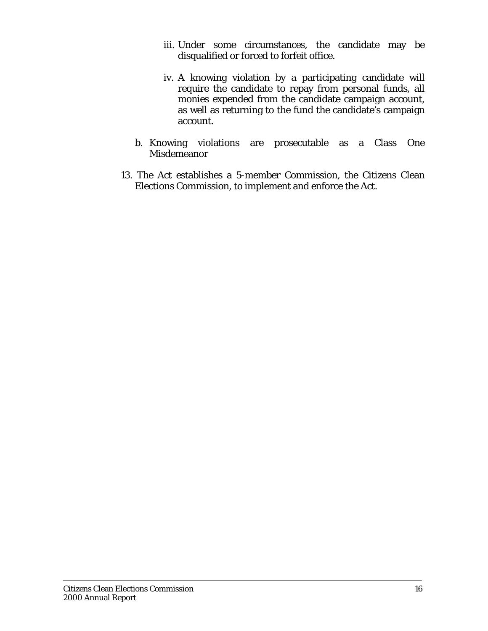- iii. Under some circumstances, the candidate may be disqualified or forced to forfeit office.
- iv. A knowing violation by a participating candidate will require the candidate to repay from personal funds, all monies expended from the candidate campaign account, as well as returning to the fund the candidate's campaign account.
- b. Knowing violations are prosecutable as a Class One Misdemeanor
- 13. The Act establishes a 5-member Commission, the Citizens Clean Elections Commission, to implement and enforce the Act.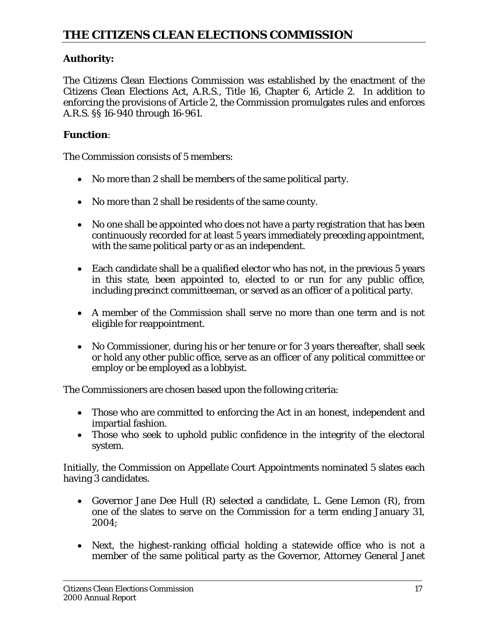## **Authority:**

The Citizens Clean Elections Commission was established by the enactment of the Citizens Clean Elections Act, A.R.S., Title 16, Chapter 6, Article 2. In addition to enforcing the provisions of Article 2, the Commission promulgates rules and enforces A.R.S. §§ 16-940 through 16-961.

## **Function**:

The Commission consists of 5 members:

- No more than 2 shall be members of the same political party.
- No more than 2 shall be residents of the same county.
- No one shall be appointed who does not have a party registration that has been continuously recorded for at least 5 years immediately preceding appointment, with the same political party or as an independent.
- Each candidate shall be a qualified elector who has not, in the previous 5 years in this state, been appointed to, elected to or run for any public office, including precinct committeeman, or served as an officer of a political party.
- A member of the Commission shall serve no more than one term and is not eligible for reappointment.
- No Commissioner, during his or her tenure or for 3 years thereafter, shall seek or hold any other public office, serve as an officer of any political committee or employ or be employed as a lobbyist.

The Commissioners are chosen based upon the following criteria:

- Those who are committed to enforcing the Act in an honest, independent and impartial fashion.
- Those who seek to uphold public confidence in the integrity of the electoral system.

Initially, the Commission on Appellate Court Appointments nominated 5 slates each having 3 candidates.

- Governor Jane Dee Hull (R) selected a candidate, L. Gene Lemon (R), from one of the slates to serve on the Commission for a term ending January 31, 2004;
- Next, the highest-ranking official holding a statewide office who is not a member of the same political party as the Governor, Attorney General Janet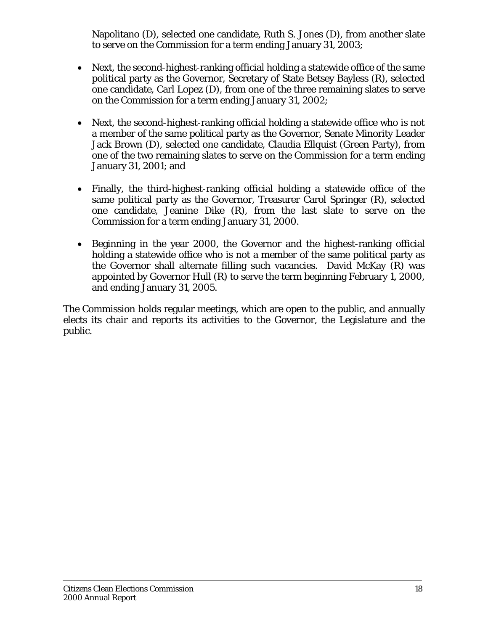Napolitano (D), selected one candidate, Ruth S. Jones (D), from another slate to serve on the Commission for a term ending January 31, 2003;

- Next, the second-highest-ranking official holding a statewide office of the same political party as the Governor, Secretary of State Betsey Bayless (R), selected one candidate, Carl Lopez (D), from one of the three remaining slates to serve on the Commission for a term ending January 31, 2002;
- Next, the second-highest-ranking official holding a statewide office who is not a member of the same political party as the Governor, Senate Minority Leader Jack Brown (D), selected one candidate, Claudia Ellquist (Green Party), from one of the two remaining slates to serve on the Commission for a term ending January 31, 2001; and
- Finally, the third-highest-ranking official holding a statewide office of the same political party as the Governor, Treasurer Carol Springer (R), selected one candidate, Jeanine Dike (R), from the last slate to serve on the Commission for a term ending January 31, 2000.
- Beginning in the year 2000, the Governor and the highest-ranking official holding a statewide office who is not a member of the same political party as the Governor shall alternate filling such vacancies. David McKay (R) was appointed by Governor Hull (R) to serve the term beginning February 1, 2000, and ending January 31, 2005.

The Commission holds regular meetings, which are open to the public, and annually elects its chair and reports its activities to the Governor, the Legislature and the public.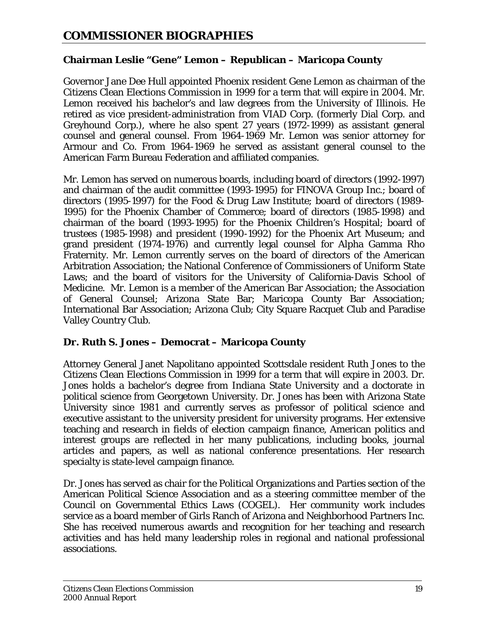#### **Chairman Leslie "Gene" Lemon – Republican – Maricopa County**

Governor Jane Dee Hull appointed Phoenix resident Gene Lemon as chairman of the Citizens Clean Elections Commission in 1999 for a term that will expire in 2004. Mr. Lemon received his bachelor's and law degrees from the University of Illinois. He retired as vice president-administration from VIAD Corp. (formerly Dial Corp. and Greyhound Corp.), where he also spent 27 years (1972-1999) as assistant general counsel and general counsel. From 1964-1969 Mr. Lemon was senior attorney for Armour and Co. From 1964-1969 he served as assistant general counsel to the American Farm Bureau Federation and affiliated companies.

Mr. Lemon has served on numerous boards, including board of directors (1992-1997) and chairman of the audit committee (1993-1995) for FINOVA Group Inc.; board of directors (1995-1997) for the Food & Drug Law Institute; board of directors (1989- 1995) for the Phoenix Chamber of Commerce; board of directors (1985-1998) and chairman of the board (1993-1995) for the Phoenix Children's Hospital; board of trustees (1985-1998) and president (1990-1992) for the Phoenix Art Museum; and grand president (1974-1976) and currently legal counsel for Alpha Gamma Rho Fraternity. Mr. Lemon currently serves on the board of directors of the American Arbitration Association; the National Conference of Commissioners of Uniform State Laws; and the board of visitors for the University of California-Davis School of Medicine. Mr. Lemon is a member of the American Bar Association; the Association of General Counsel; Arizona State Bar; Maricopa County Bar Association; International Bar Association; Arizona Club; City Square Racquet Club and Paradise Valley Country Club.

#### **Dr. Ruth S. Jones – Democrat – Maricopa County**

Attorney General Janet Napolitano appointed Scottsdale resident Ruth Jones to the Citizens Clean Elections Commission in 1999 for a term that will expire in 2003. Dr. Jones holds a bachelor's degree from Indiana State University and a doctorate in political science from Georgetown University. Dr. Jones has been with Arizona State University since 1981 and currently serves as professor of political science and executive assistant to the university president for university programs. Her extensive teaching and research in fields of election campaign finance, American politics and interest groups are reflected in her many publications, including books, journal articles and papers, as well as national conference presentations. Her research specialty is state-level campaign finance.

Dr. Jones has served as chair for the Political Organizations and Parties section of the American Political Science Association and as a steering committee member of the Council on Governmental Ethics Laws (COGEL). Her community work includes service as a board member of Girls Ranch of Arizona and Neighborhood Partners Inc. She has received numerous awards and recognition for her teaching and research activities and has held many leadership roles in regional and national professional associations.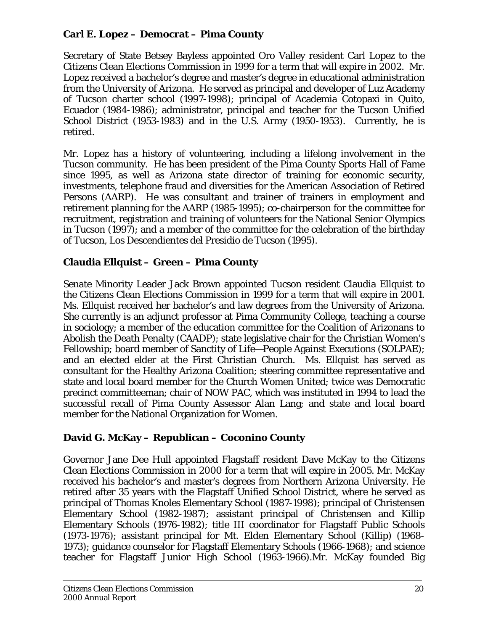## **Carl E. Lopez – Democrat – Pima County**

Secretary of State Betsey Bayless appointed Oro Valley resident Carl Lopez to the Citizens Clean Elections Commission in 1999 for a term that will expire in 2002. Mr. Lopez received a bachelor's degree and master's degree in educational administration from the University of Arizona. He served as principal and developer of Luz Academy of Tucson charter school (1997-1998); principal of Academia Cotopaxi in Quito, Ecuador (1984-1986); administrator, principal and teacher for the Tucson Unified School District (1953-1983) and in the U.S. Army (1950-1953). Currently, he is retired.

Mr. Lopez has a history of volunteering, including a lifelong involvement in the Tucson community. He has been president of the Pima County Sports Hall of Fame since 1995, as well as Arizona state director of training for economic security, investments, telephone fraud and diversities for the American Association of Retired Persons (AARP). He was consultant and trainer of trainers in employment and retirement planning for the AARP (1985-1995); co-chairperson for the committee for recruitment, registration and training of volunteers for the National Senior Olympics in Tucson (1997); and a member of the committee for the celebration of the birthday of Tucson, Los Descendientes del Presidio de Tucson (1995).

#### **Claudia Ellquist – Green – Pima County**

Senate Minority Leader Jack Brown appointed Tucson resident Claudia Ellquist to the Citizens Clean Elections Commission in 1999 for a term that will expire in 2001. Ms. Ellquist received her bachelor's and law degrees from the University of Arizona. She currently is an adjunct professor at Pima Community College, teaching a course in sociology; a member of the education committee for the Coalition of Arizonans to Abolish the Death Penalty (CAADP); state legislative chair for the Christian Women's Fellowship; board member of Sanctity of Life—People Against Executions (SOLPAE); and an elected elder at the First Christian Church. Ms. Ellquist has served as consultant for the Healthy Arizona Coalition; steering committee representative and state and local board member for the Church Women United; twice was Democratic precinct committeeman; chair of NOW PAC, which was instituted in 1994 to lead the successful recall of Pima County Assessor Alan Lang; and state and local board member for the National Organization for Women.

#### **David G. McKay – Republican – Coconino County**

Governor Jane Dee Hull appointed Flagstaff resident Dave McKay to the Citizens Clean Elections Commission in 2000 for a term that will expire in 2005. Mr. McKay received his bachelor's and master's degrees from Northern Arizona University. He retired after 35 years with the Flagstaff Unified School District, where he served as principal of Thomas Knoles Elementary School (1987-1998); principal of Christensen Elementary School (1982-1987); assistant principal of Christensen and Killip Elementary Schools (1976-1982); title III coordinator for Flagstaff Public Schools (1973-1976); assistant principal for Mt. Elden Elementary School (Killip) (1968- 1973); guidance counselor for Flagstaff Elementary Schools (1966-1968); and science teacher for Flagstaff Junior High School (1963-1966).Mr. McKay founded Big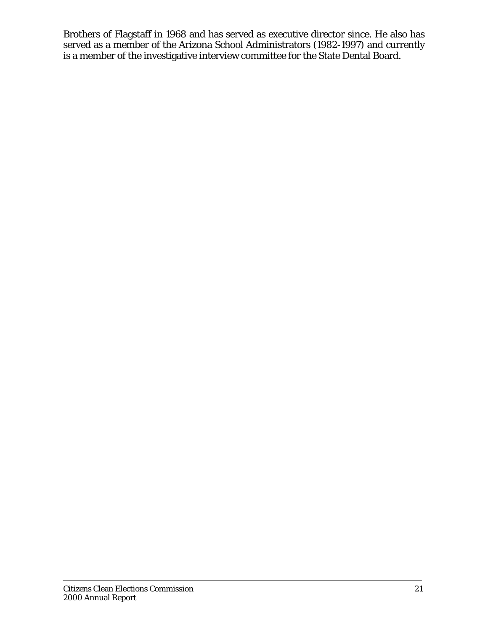Brothers of Flagstaff in 1968 and has served as executive director since. He also has served as a member of the Arizona School Administrators (1982-1997) and currently is a member of the investigative interview committee for the State Dental Board.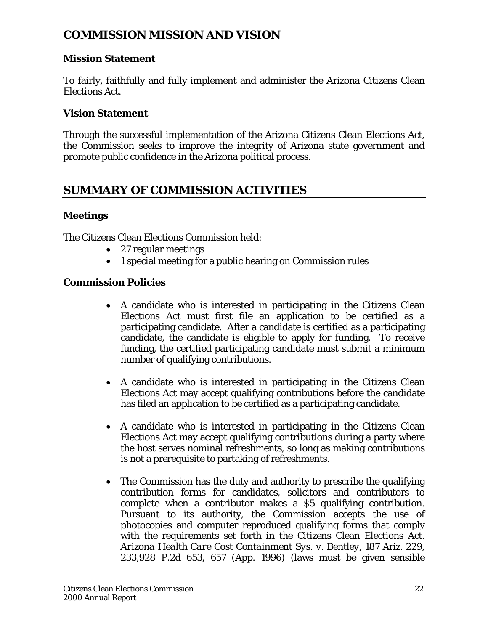#### **Mission Statement**

To fairly, faithfully and fully implement and administer the Arizona Citizens Clean Elections Act.

#### **Vision Statement**

Through the successful implementation of the Arizona Citizens Clean Elections Act, the Commission seeks to improve the integrity of Arizona state government and promote public confidence in the Arizona political process.

# **SUMMARY OF COMMISSION ACTIVITIES**

#### **Meetings**

The Citizens Clean Elections Commission held:

- 27 regular meetings
- 1 special meeting for a public hearing on Commission rules

#### **Commission Policies**

- A candidate who is interested in participating in the Citizens Clean Elections Act must first file an application to be certified as a participating candidate. After a candidate is certified as a participating candidate, the candidate is eligible to apply for funding. To receive funding, the certified participating candidate must submit a minimum number of qualifying contributions.
- A candidate who is interested in participating in the Citizens Clean Elections Act may accept qualifying contributions before the candidate has filed an application to be certified as a participating candidate.
- A candidate who is interested in participating in the Citizens Clean Elections Act may accept qualifying contributions during a party where the host serves nominal refreshments, so long as making contributions is not a prerequisite to partaking of refreshments.
- The Commission has the duty and authority to prescribe the qualifying contribution forms for candidates, solicitors and contributors to complete when a contributor makes a \$5 qualifying contribution. Pursuant to its authority, the Commission accepts the use of photocopies and computer reproduced qualifying forms that comply with the requirements set forth in the Citizens Clean Elections Act. *Arizona Health Care Cost Containment Sys. v. Bentley*, 187 Ariz. 229, 233,928 P.2d 653, 657 (App. 1996) (laws must be given sensible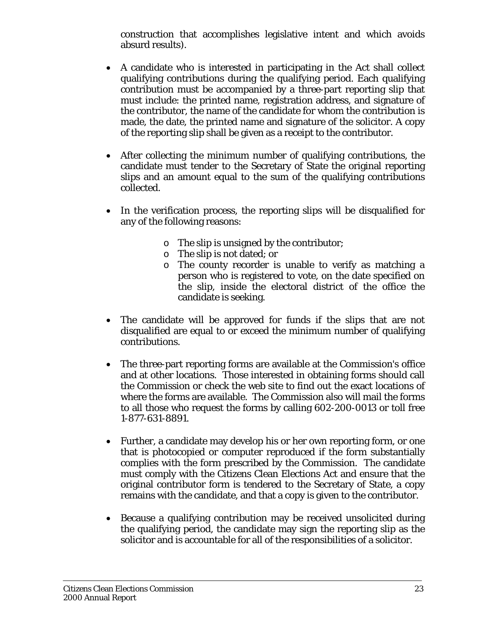construction that accomplishes legislative intent and which avoids absurd results).

- A candidate who is interested in participating in the Act shall collect qualifying contributions during the qualifying period. Each qualifying contribution must be accompanied by a three-part reporting slip that must include: the printed name, registration address, and signature of the contributor, the name of the candidate for whom the contribution is made, the date, the printed name and signature of the solicitor. A copy of the reporting slip shall be given as a receipt to the contributor.
- After collecting the minimum number of qualifying contributions, the candidate must tender to the Secretary of State the original reporting slips and an amount equal to the sum of the qualifying contributions collected.
- In the verification process, the reporting slips will be disqualified for any of the following reasons:
	- o The slip is unsigned by the contributor;
	- o The slip is not dated; or
	- o The county recorder is unable to verify as matching a person who is registered to vote, on the date specified on the slip, inside the electoral district of the office the candidate is seeking.
- The candidate will be approved for funds if the slips that are not disqualified are equal to or exceed the minimum number of qualifying contributions.
- The three-part reporting forms are available at the Commission's office and at other locations. Those interested in obtaining forms should call the Commission or check the web site to find out the exact locations of where the forms are available. The Commission also will mail the forms to all those who request the forms by calling 602-200-0013 or toll free 1-877-631-8891.
- Further, a candidate may develop his or her own reporting form, or one that is photocopied or computer reproduced if the form substantially complies with the form prescribed by the Commission. The candidate must comply with the Citizens Clean Elections Act and ensure that the original contributor form is tendered to the Secretary of State, a copy remains with the candidate, and that a copy is given to the contributor.
- Because a qualifying contribution may be received unsolicited during the qualifying period, the candidate may sign the reporting slip as the solicitor and is accountable for all of the responsibilities of a solicitor.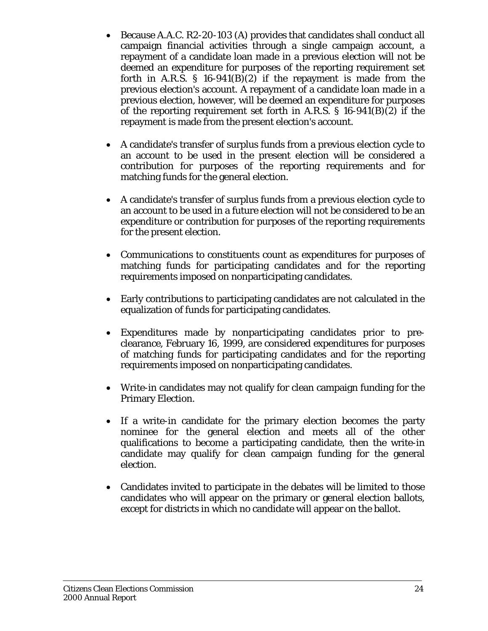- Because A.A.C. R2-20-103 (A) provides that candidates shall conduct all campaign financial activities through a single campaign account, a repayment of a candidate loan made in a previous election will not be deemed an expenditure for purposes of the reporting requirement set forth in A.R.S.  $\S$  16-941(B)(2) if the repayment is made from the previous election's account. A repayment of a candidate loan made in a previous election, however, will be deemed an expenditure for purposes of the reporting requirement set forth in A.R.S. § 16-941(B)(2) if the repayment is made from the present election's account.
- A candidate's transfer of surplus funds from a previous election cycle to an account to be used in the present election will be considered a contribution for purposes of the reporting requirements and for matching funds for the general election.
- A candidate's transfer of surplus funds from a previous election cycle to an account to be used in a future election will not be considered to be an expenditure or contribution for purposes of the reporting requirements for the present election.
- Communications to constituents count as expenditures for purposes of matching funds for participating candidates and for the reporting requirements imposed on nonparticipating candidates.
- Early contributions to participating candidates are not calculated in the equalization of funds for participating candidates.
- Expenditures made by nonparticipating candidates prior to preclearance, February 16, 1999, are considered expenditures for purposes of matching funds for participating candidates and for the reporting requirements imposed on nonparticipating candidates.
- Write-in candidates may not qualify for clean campaign funding for the Primary Election.
- If a write-in candidate for the primary election becomes the party nominee for the general election and meets all of the other qualifications to become a participating candidate, then the write-in candidate may qualify for clean campaign funding for the general election.
- Candidates invited to participate in the debates will be limited to those candidates who will appear on the primary or general election ballots, except for districts in which no candidate will appear on the ballot.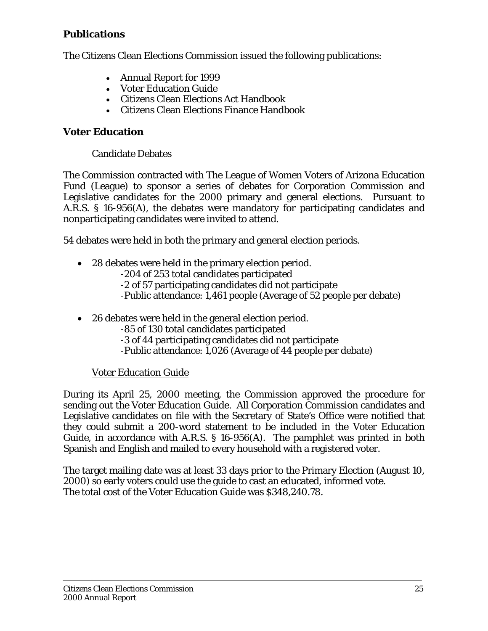#### **Publications**

The Citizens Clean Elections Commission issued the following publications:

- Annual Report for 1999
- Voter Education Guide
- Citizens Clean Elections Act Handbook
- Citizens Clean Elections Finance Handbook

#### **Voter Education**

#### Candidate Debates

The Commission contracted with The League of Women Voters of Arizona Education Fund (League) to sponsor a series of debates for Corporation Commission and Legislative candidates for the 2000 primary and general elections. Pursuant to A.R.S. § 16-956(A), the debates were mandatory for participating candidates and nonparticipating candidates were invited to attend.

54 debates were held in both the primary and general election periods.

- 28 debates were held in the primary election period.
	- -204 of 253 total candidates participated
	- -2 of 57 participating candidates did not participate
	- -Public attendance: 1,461 people (Average of 52 people per debate)
- 26 debates were held in the general election period.
	- -85 of 130 total candidates participated
	- -3 of 44 participating candidates did not participate
	- -Public attendance: 1,026 (Average of 44 people per debate)

#### Voter Education Guide

During its April 25, 2000 meeting, the Commission approved the procedure for sending out the Voter Education Guide. All Corporation Commission candidates and Legislative candidates on file with the Secretary of State's Office were notified that they could submit a 200-word statement to be included in the Voter Education Guide, in accordance with A.R.S. § 16-956(A). The pamphlet was printed in both Spanish and English and mailed to every household with a registered voter.

The target mailing date was at least 33 days prior to the Primary Election (August 10, 2000) so early voters could use the guide to cast an educated, informed vote. The total cost of the Voter Education Guide was \$348,240.78.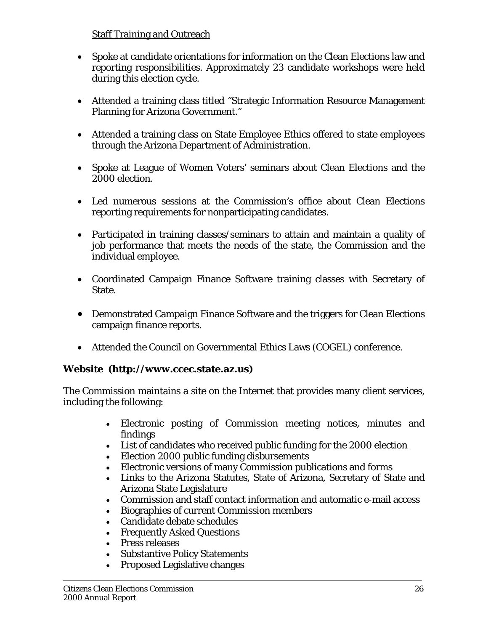#### **Staff Training and Outreach**

- Spoke at candidate orientations for information on the Clean Elections law and reporting responsibilities. Approximately 23 candidate workshops were held during this election cycle.
- Attended a training class titled "Strategic Information Resource Management Planning for Arizona Government."
- Attended a training class on State Employee Ethics offered to state employees through the Arizona Department of Administration.
- Spoke at League of Women Voters' seminars about Clean Elections and the 2000 election.
- Led numerous sessions at the Commission's office about Clean Elections reporting requirements for nonparticipating candidates.
- Participated in training classes/seminars to attain and maintain a quality of job performance that meets the needs of the state, the Commission and the individual employee.
- Coordinated Campaign Finance Software training classes with Secretary of State.
- Demonstrated Campaign Finance Software and the triggers for Clean Elections campaign finance reports.
- Attended the Council on Governmental Ethics Laws (COGEL) conference.

#### **Website (http://www.ccec.state.az.us)**

The Commission maintains a site on the Internet that provides many client services, including the following:

- Electronic posting of Commission meeting notices, minutes and findings
- List of candidates who received public funding for the 2000 election
- Election 2000 public funding disbursements
- Electronic versions of many Commission publications and forms
- Links to the Arizona Statutes, State of Arizona, Secretary of State and Arizona State Legislature
- Commission and staff contact information and automatic e-mail access
- Biographies of current Commission members
- Candidate debate schedules
- Frequently Asked Questions
- Press releases
- Substantive Policy Statements
- Proposed Legislative changes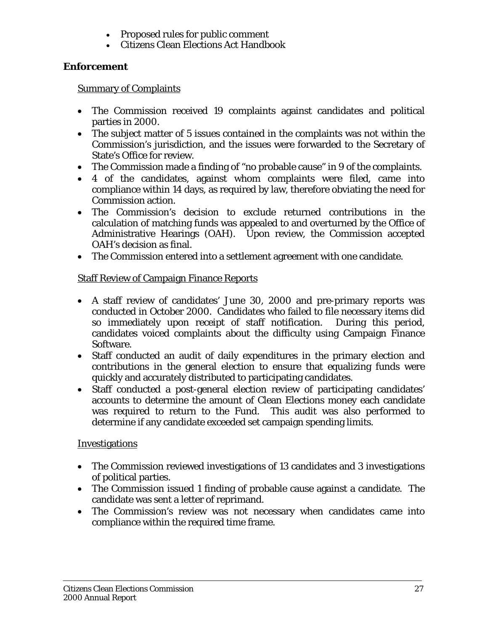- Proposed rules for public comment
- Citizens Clean Elections Act Handbook

## **Enforcement**

#### Summary of Complaints

- The Commission received 19 complaints against candidates and political parties in 2000.
- The subject matter of 5 issues contained in the complaints was not within the Commission's jurisdiction, and the issues were forwarded to the Secretary of State's Office for review.
- The Commission made a finding of "no probable cause" in 9 of the complaints.
- 4 of the candidates, against whom complaints were filed, came into compliance within 14 days, as required by law, therefore obviating the need for Commission action.
- The Commission's decision to exclude returned contributions in the calculation of matching funds was appealed to and overturned by the Office of Administrative Hearings (OAH). Upon review, the Commission accepted OAH's decision as final.
- The Commission entered into a settlement agreement with one candidate.

# Staff Review of Campaign Finance Reports

- A staff review of candidates' June 30, 2000 and pre-primary reports was conducted in October 2000. Candidates who failed to file necessary items did so immediately upon receipt of staff notification. During this period, candidates voiced complaints about the difficulty using Campaign Finance Software.
- Staff conducted an audit of daily expenditures in the primary election and contributions in the general election to ensure that equalizing funds were quickly and accurately distributed to participating candidates.
- Staff conducted a post-general election review of participating candidates' accounts to determine the amount of Clean Elections money each candidate was required to return to the Fund. This audit was also performed to determine if any candidate exceeded set campaign spending limits.

## **Investigations**

- The Commission reviewed investigations of 13 candidates and 3 investigations of political parties.
- The Commission issued 1 finding of probable cause against a candidate. The candidate was sent a letter of reprimand.
- The Commission's review was not necessary when candidates came into compliance within the required time frame.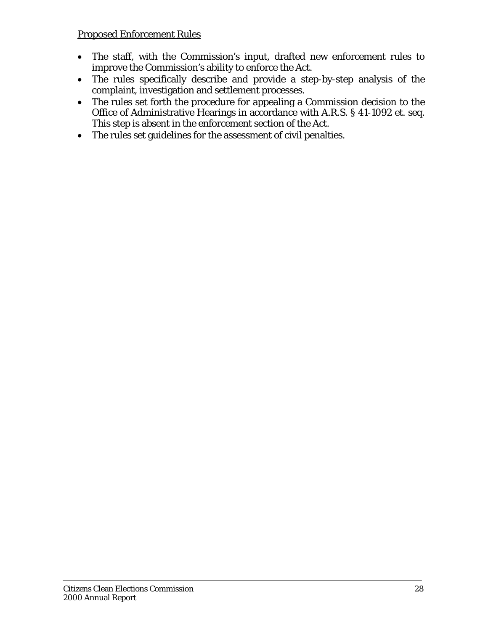#### Proposed Enforcement Rules

- The staff, with the Commission's input, drafted new enforcement rules to improve the Commission's ability to enforce the Act.
- The rules specifically describe and provide a step-by-step analysis of the complaint, investigation and settlement processes.
- The rules set forth the procedure for appealing a Commission decision to the Office of Administrative Hearings in accordance with A.R.S. § 41-1092 et. seq. This step is absent in the enforcement section of the Act.
- The rules set guidelines for the assessment of civil penalties.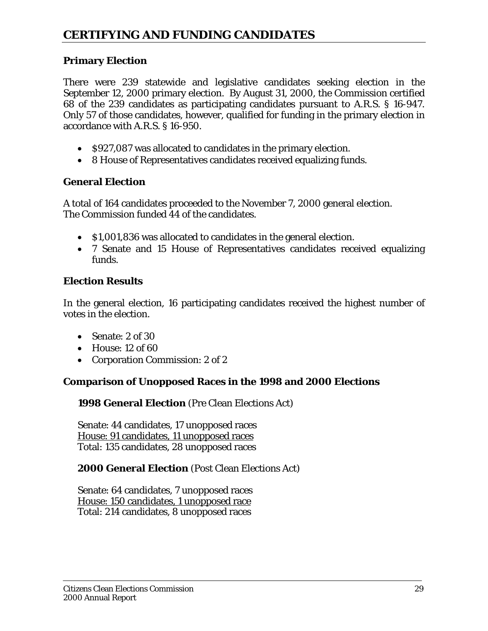## **Primary Election**

There were 239 statewide and legislative candidates seeking election in the September 12, 2000 primary election. By August 31, 2000, the Commission certified 68 of the 239 candidates as participating candidates pursuant to A.R.S. § 16-947. Only 57 of those candidates, however, qualified for funding in the primary election in accordance with A.R.S. § 16-950.

- \$927,087 was allocated to candidates in the primary election.
- 8 House of Representatives candidates received equalizing funds.

#### **General Election**

A total of 164 candidates proceeded to the November 7, 2000 general election. The Commission funded 44 of the candidates.

- \$1,001,836 was allocated to candidates in the general election.
- 7 Senate and 15 House of Representatives candidates received equalizing funds.

#### **Election Results**

In the general election, 16 participating candidates received the highest number of votes in the election.

- Senate: 2 of 30
- House: 12 of 60
- Corporation Commission: 2 of 2

#### **Comparison of Unopposed Races in the 1998 and 2000 Elections**

**1998 General Election** (Pre Clean Elections Act)

Senate: 44 candidates, 17 unopposed races House: 91 candidates, 11 unopposed races Total: 135 candidates, 28 unopposed races

#### **2000 General Election** (Post Clean Elections Act)

Senate: 64 candidates, 7 unopposed races House: 150 candidates, 1 unopposed race Total: 214 candidates, 8 unopposed races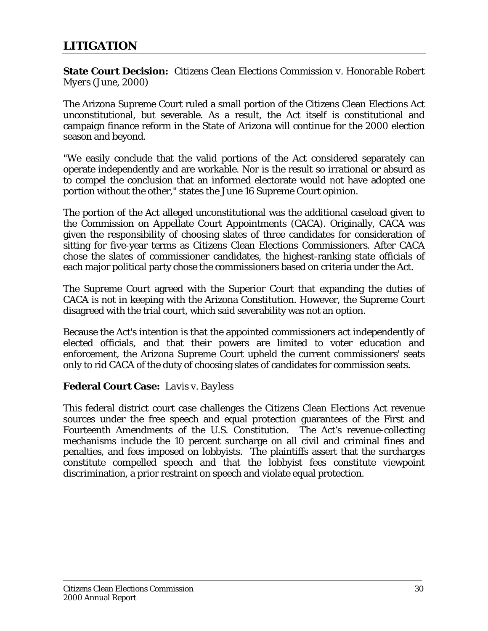**State Court Decision:** *Citizens Clean Elections Commission v. Honorable Robert Myers* (June, 2000)

The Arizona Supreme Court ruled a small portion of the Citizens Clean Elections Act unconstitutional, but severable. As a result, the Act itself is constitutional and campaign finance reform in the State of Arizona will continue for the 2000 election season and beyond.

"We easily conclude that the valid portions of the Act considered separately can operate independently and are workable. Nor is the result so irrational or absurd as to compel the conclusion that an informed electorate would not have adopted one portion without the other," states the June 16 Supreme Court opinion.

The portion of the Act alleged unconstitutional was the additional caseload given to the Commission on Appellate Court Appointments (CACA). Originally, CACA was given the responsibility of choosing slates of three candidates for consideration of sitting for five-year terms as Citizens Clean Elections Commissioners. After CACA chose the slates of commissioner candidates, the highest-ranking state officials of each major political party chose the commissioners based on criteria under the Act.

The Supreme Court agreed with the Superior Court that expanding the duties of CACA is not in keeping with the Arizona Constitution. However, the Supreme Court disagreed with the trial court, which said severability was not an option.

Because the Act's intention is that the appointed commissioners act independently of elected officials, and that their powers are limited to voter education and enforcement, the Arizona Supreme Court upheld the current commissioners' seats only to rid CACA of the duty of choosing slates of candidates for commission seats.

#### **Federal Court Case:** *Lavis v. Bayless*

This federal district court case challenges the Citizens Clean Elections Act revenue sources under the free speech and equal protection guarantees of the First and Fourteenth Amendments of the U.S. Constitution. The Act's revenue-collecting mechanisms include the 10 percent surcharge on all civil and criminal fines and penalties, and fees imposed on lobbyists. The plaintiffs assert that the surcharges constitute compelled speech and that the lobbyist fees constitute viewpoint discrimination, a prior restraint on speech and violate equal protection.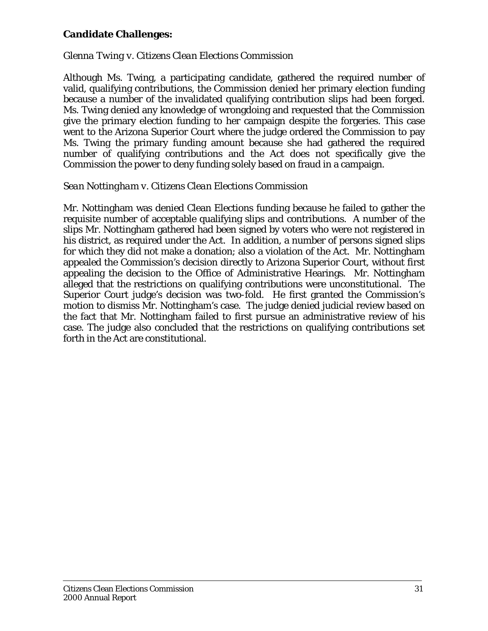#### **Candidate Challenges:**

#### *Glenna Twing v. Citizens Clean Elections Commission*

Although Ms. Twing, a participating candidate, gathered the required number of valid, qualifying contributions, the Commission denied her primary election funding because a number of the invalidated qualifying contribution slips had been forged. Ms. Twing denied any knowledge of wrongdoing and requested that the Commission give the primary election funding to her campaign despite the forgeries. This case went to the Arizona Superior Court where the judge ordered the Commission to pay Ms. Twing the primary funding amount because she had gathered the required number of qualifying contributions and the Act does not specifically give the Commission the power to deny funding solely based on fraud in a campaign.

#### *Sean Nottingham v. Citizens Clean Elections Commission*

Mr. Nottingham was denied Clean Elections funding because he failed to gather the requisite number of acceptable qualifying slips and contributions. A number of the slips Mr. Nottingham gathered had been signed by voters who were not registered in his district, as required under the Act. In addition, a number of persons signed slips for which they did not make a donation; also a violation of the Act. Mr. Nottingham appealed the Commission's decision directly to Arizona Superior Court, without first appealing the decision to the Office of Administrative Hearings. Mr. Nottingham alleged that the restrictions on qualifying contributions were unconstitutional. The Superior Court judge's decision was two-fold. He first granted the Commission's motion to dismiss Mr. Nottingham's case. The judge denied judicial review based on the fact that Mr. Nottingham failed to first pursue an administrative review of his case. The judge also concluded that the restrictions on qualifying contributions set forth in the Act are constitutional.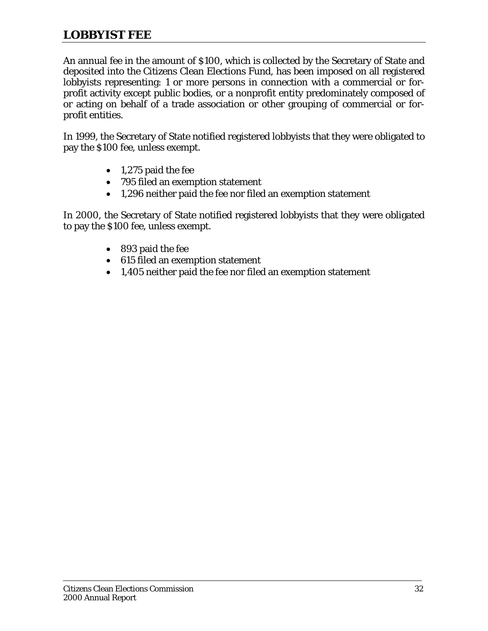# **LOBBYIST FEE**

An annual fee in the amount of \$100, which is collected by the Secretary of State and deposited into the Citizens Clean Elections Fund, has been imposed on all registered lobbyists representing: 1 or more persons in connection with a commercial or forprofit activity except public bodies, or a nonprofit entity predominately composed of or acting on behalf of a trade association or other grouping of commercial or forprofit entities.

In 1999, the Secretary of State notified registered lobbyists that they were obligated to pay the \$100 fee, unless exempt.

- 1,275 paid the fee
- 795 filed an exemption statement
- 1,296 neither paid the fee nor filed an exemption statement

In 2000, the Secretary of State notified registered lobbyists that they were obligated to pay the \$100 fee, unless exempt.

- 893 paid the fee
- 615 filed an exemption statement
- 1,405 neither paid the fee nor filed an exemption statement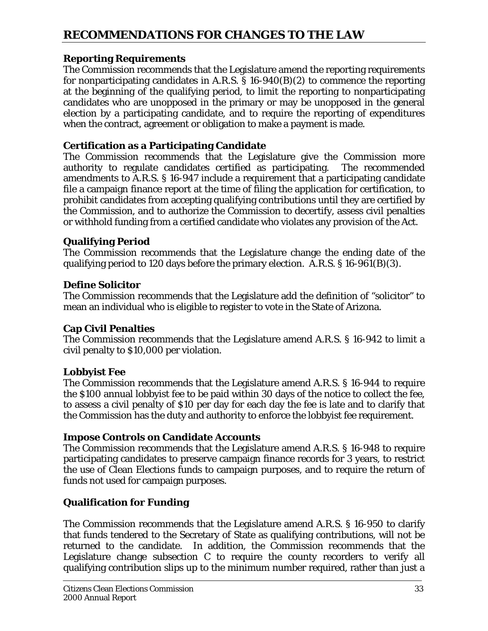# **RECOMMENDATIONS FOR CHANGES TO THE LAW**

#### **Reporting Requirements**

The Commission recommends that the Legislature amend the reporting requirements for nonparticipating candidates in A.R.S.  $\S$  16-940(B)(2) to commence the reporting at the beginning of the qualifying period, to limit the reporting to nonparticipating candidates who are unopposed in the primary or may be unopposed in the general election by a participating candidate, and to require the reporting of expenditures when the contract, agreement or obligation to make a payment is made.

#### **Certification as a Participating Candidate**

The Commission recommends that the Legislature give the Commission more authority to regulate candidates certified as participating. The recommended amendments to A.R.S. § 16-947 include a requirement that a participating candidate file a campaign finance report at the time of filing the application for certification, to prohibit candidates from accepting qualifying contributions until they are certified by the Commission, and to authorize the Commission to decertify, assess civil penalties or withhold funding from a certified candidate who violates any provision of the Act.

#### **Qualifying Period**

The Commission recommends that the Legislature change the ending date of the qualifying period to 120 days before the primary election. A.R.S. § 16-961(B)(3).

#### **Define Solicitor**

The Commission recommends that the Legislature add the definition of "solicitor" to mean an individual who is eligible to register to vote in the State of Arizona.

#### **Cap Civil Penalties**

The Commission recommends that the Legislature amend A.R.S. § 16-942 to limit a civil penalty to \$10,000 per violation.

#### **Lobbyist Fee**

The Commission recommends that the Legislature amend A.R.S. § 16-944 to require the \$100 annual lobbyist fee to be paid within 30 days of the notice to collect the fee, to assess a civil penalty of \$10 per day for each day the fee is late and to clarify that the Commission has the duty and authority to enforce the lobbyist fee requirement.

#### **Impose Controls on Candidate Accounts**

The Commission recommends that the Legislature amend A.R.S. § 16-948 to require participating candidates to preserve campaign finance records for 3 years, to restrict the use of Clean Elections funds to campaign purposes, and to require the return of funds not used for campaign purposes.

#### **Qualification for Funding**

The Commission recommends that the Legislature amend A.R.S. § 16-950 to clarify that funds tendered to the Secretary of State as qualifying contributions, will not be returned to the candidate. In addition, the Commission recommends that the Legislature change subsection C to require the county recorders to verify all qualifying contribution slips up to the minimum number required, rather than just a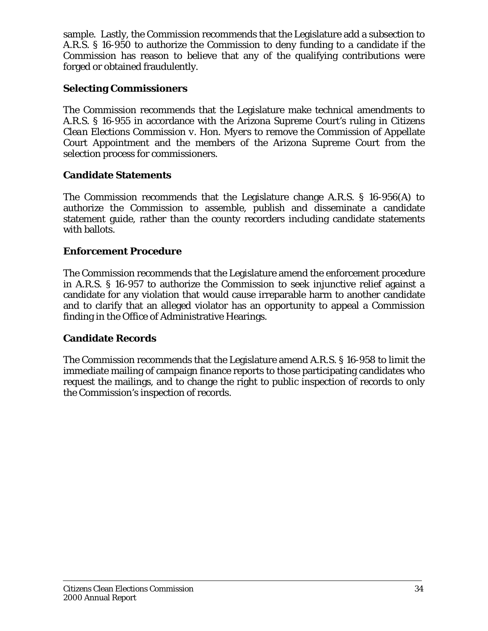sample. Lastly, the Commission recommends that the Legislature add a subsection to A.R.S. § 16-950 to authorize the Commission to deny funding to a candidate if the Commission has reason to believe that any of the qualifying contributions were forged or obtained fraudulently.

#### **Selecting Commissioners**

The Commission recommends that the Legislature make technical amendments to A.R.S. § 16-955 in accordance with the Arizona Supreme Court's ruling in *Citizens Clean Elections Commission v. Hon. Myers* to remove the Commission of Appellate Court Appointment and the members of the Arizona Supreme Court from the selection process for commissioners.

#### **Candidate Statements**

The Commission recommends that the Legislature change A.R.S. § 16-956(A) to authorize the Commission to assemble, publish and disseminate a candidate statement guide, rather than the county recorders including candidate statements with ballots.

#### **Enforcement Procedure**

The Commission recommends that the Legislature amend the enforcement procedure in A.R.S. § 16-957 to authorize the Commission to seek injunctive relief against a candidate for any violation that would cause irreparable harm to another candidate and to clarify that an alleged violator has an opportunity to appeal a Commission finding in the Office of Administrative Hearings.

#### **Candidate Records**

The Commission recommends that the Legislature amend A.R.S. § 16-958 to limit the immediate mailing of campaign finance reports to those participating candidates who request the mailings, and to change the right to public inspection of records to only the Commission's inspection of records.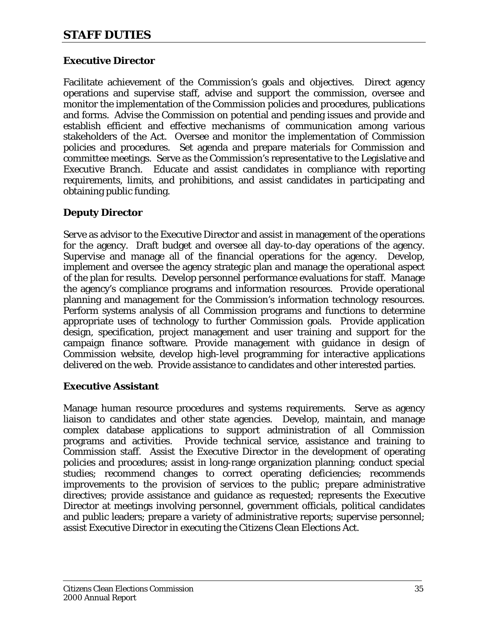## **STAFF DUTIES**

#### **Executive Director**

Facilitate achievement of the Commission's goals and objectives. Direct agency operations and supervise staff, advise and support the commission, oversee and monitor the implementation of the Commission policies and procedures, publications and forms. Advise the Commission on potential and pending issues and provide and establish efficient and effective mechanisms of communication among various stakeholders of the Act. Oversee and monitor the implementation of Commission policies and procedures. Set agenda and prepare materials for Commission and committee meetings. Serve as the Commission's representative to the Legislative and Executive Branch. Educate and assist candidates in compliance with reporting requirements, limits, and prohibitions, and assist candidates in participating and obtaining public funding.

#### **Deputy Director**

Serve as advisor to the Executive Director and assist in management of the operations for the agency. Draft budget and oversee all day-to-day operations of the agency. Supervise and manage all of the financial operations for the agency. Develop, implement and oversee the agency strategic plan and manage the operational aspect of the plan for results. Develop personnel performance evaluations for staff. Manage the agency's compliance programs and information resources. Provide operational planning and management for the Commission's information technology resources. Perform systems analysis of all Commission programs and functions to determine appropriate uses of technology to further Commission goals. Provide application design, specification, project management and user training and support for the campaign finance software. Provide management with guidance in design of Commission website, develop high-level programming for interactive applications delivered on the web. Provide assistance to candidates and other interested parties.

#### **Executive Assistant**

Manage human resource procedures and systems requirements. Serve as agency liaison to candidates and other state agencies. Develop, maintain, and manage complex database applications to support administration of all Commission programs and activities. Provide technical service, assistance and training to Commission staff. Assist the Executive Director in the development of operating policies and procedures; assist in long-range organization planning; conduct special studies; recommend changes to correct operating deficiencies; recommends improvements to the provision of services to the public; prepare administrative directives; provide assistance and guidance as requested; represents the Executive Director at meetings involving personnel, government officials, political candidates and public leaders; prepare a variety of administrative reports; supervise personnel; assist Executive Director in executing the Citizens Clean Elections Act.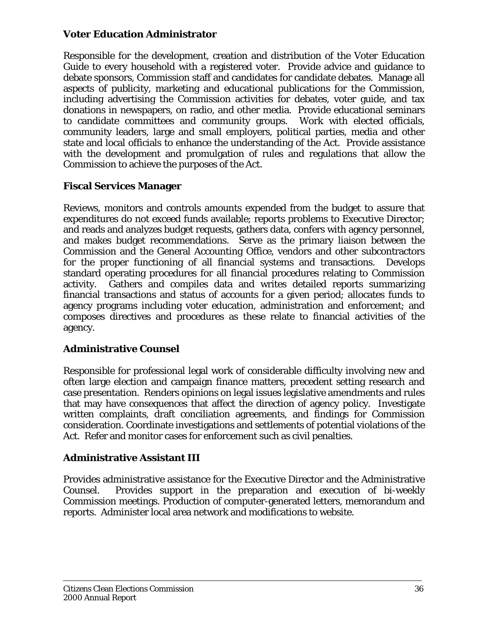#### **Voter Education Administrator**

Responsible for the development, creation and distribution of the Voter Education Guide to every household with a registered voter. Provide advice and guidance to debate sponsors, Commission staff and candidates for candidate debates. Manage all aspects of publicity, marketing and educational publications for the Commission, including advertising the Commission activities for debates, voter guide, and tax donations in newspapers, on radio, and other media. Provide educational seminars to candidate committees and community groups. Work with elected officials, community leaders, large and small employers, political parties, media and other state and local officials to enhance the understanding of the Act. Provide assistance with the development and promulgation of rules and regulations that allow the Commission to achieve the purposes of the Act.

#### **Fiscal Services Manager**

Reviews, monitors and controls amounts expended from the budget to assure that expenditures do not exceed funds available; reports problems to Executive Director; and reads and analyzes budget requests, gathers data, confers with agency personnel, and makes budget recommendations. Serve as the primary liaison between the Commission and the General Accounting Office, vendors and other subcontractors for the proper functioning of all financial systems and transactions. Develops standard operating procedures for all financial procedures relating to Commission activity. Gathers and compiles data and writes detailed reports summarizing financial transactions and status of accounts for a given period; allocates funds to agency programs including voter education, administration and enforcement; and composes directives and procedures as these relate to financial activities of the agency.

#### **Administrative Counsel**

Responsible for professional legal work of considerable difficulty involving new and often large election and campaign finance matters, precedent setting research and case presentation. Renders opinions on legal issues legislative amendments and rules that may have consequences that affect the direction of agency policy. Investigate written complaints, draft conciliation agreements, and findings for Commission consideration. Coordinate investigations and settlements of potential violations of the Act. Refer and monitor cases for enforcement such as civil penalties.

#### **Administrative Assistant III**

Provides administrative assistance for the Executive Director and the Administrative Counsel. Provides support in the preparation and execution of bi-weekly Commission meetings. Production of computer-generated letters, memorandum and reports. Administer local area network and modifications to website.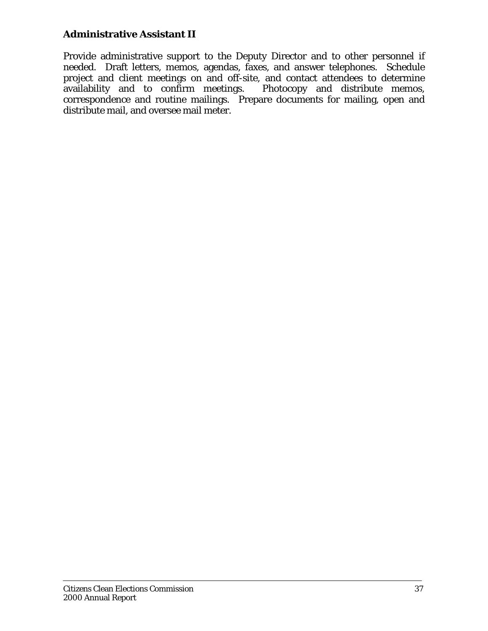#### **Administrative Assistant II**

Provide administrative support to the Deputy Director and to other personnel if needed. Draft letters, memos, agendas, faxes, and answer telephones. Schedule project and client meetings on and off-site, and contact attendees to determine availability and to confirm meetings. Photocopy and distribute memos, availability and to confirm meetings. correspondence and routine mailings. Prepare documents for mailing, open and distribute mail, and oversee mail meter.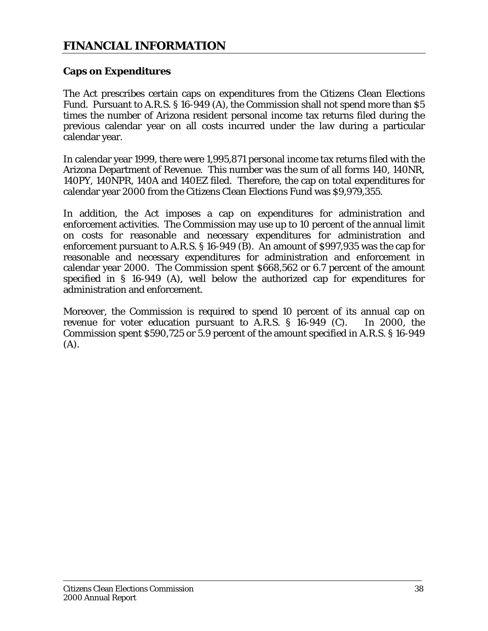## **FINANCIAL INFORMATION**

#### **Caps on Expenditures**

The Act prescribes certain caps on expenditures from the Citizens Clean Elections Fund. Pursuant to A.R.S. § 16-949 (A), the Commission shall not spend more than \$5 times the number of Arizona resident personal income tax returns filed during the previous calendar year on all costs incurred under the law during a particular calendar year.

In calendar year 1999, there were 1,995,871 personal income tax returns filed with the Arizona Department of Revenue. This number was the sum of all forms 140, 140NR, 140PY, 140NPR, 140A and 140EZ filed. Therefore, the cap on total expenditures for calendar year 2000 from the Citizens Clean Elections Fund was \$9,979,355.

In addition, the Act imposes a cap on expenditures for administration and enforcement activities. The Commission may use up to 10 percent of the annual limit on costs for reasonable and necessary expenditures for administration and enforcement pursuant to A.R.S. § 16-949 (B). An amount of \$997,935 was the cap for reasonable and necessary expenditures for administration and enforcement in calendar year 2000. The Commission spent \$668,562 or 6.7 percent of the amount specified in § 16-949 (A), well below the authorized cap for expenditures for administration and enforcement.

Moreover, the Commission is required to spend 10 percent of its annual cap on revenue for voter education pursuant to A.R.S. § 16-949 (C). In 2000, the Commission spent \$590,725 or 5.9 percent of the amount specified in A.R.S. § 16-949 (A).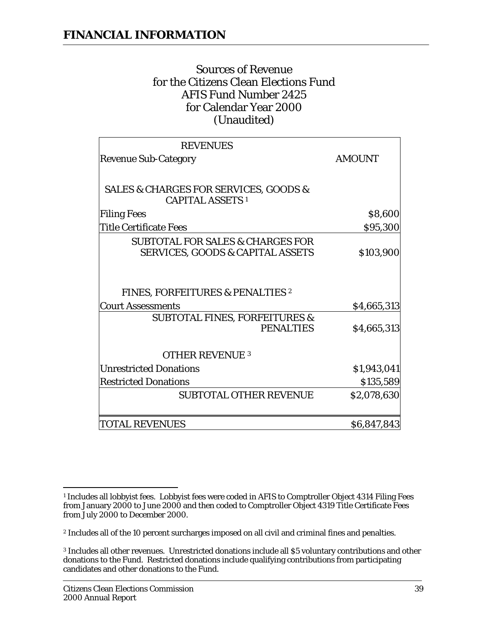## Sources of Revenue for the Citizens Clean Elections Fund AFIS Fund Number 2425 for Calendar Year 2000 (Unaudited)

| <b>REVENUES</b>                                                                            |               |
|--------------------------------------------------------------------------------------------|---------------|
| <b>Revenue Sub-Category</b>                                                                | <b>AMOUNT</b> |
|                                                                                            |               |
| <b>SALES &amp; CHARGES FOR SERVICES, GOODS &amp;</b><br><b>CAPITAL ASSETS 1</b>            |               |
| <b>Filing Fees</b>                                                                         | \$8,600       |
| Title Certificate Fees                                                                     | \$95,300      |
| <b>SUBTOTAL FOR SALES &amp; CHARGES FOR</b><br><b>SERVICES, GOODS &amp; CAPITAL ASSETS</b> | \$103,900     |
| <b>FINES, FORFEITURES &amp; PENALTIES 2</b><br><b>Court Assessments</b>                    | \$4,665,313   |
| <b>SUBTOTAL FINES, FORFEITURES &amp;</b><br><b>PENALTIES</b>                               | \$4,665,313   |
| <b>OTHER REVENUE 3</b>                                                                     |               |
| <b>Unrestricted Donations</b>                                                              | \$1,943,041   |
| <b>Restricted Donations</b>                                                                | \$135,589     |
| <b>SUBTOTAL OTHER REVENUE</b>                                                              | \$2,078,630   |
| <b>TOTAL REVENUES</b>                                                                      | \$6,847,843   |

 $\overline{a}$ <sup>1</sup> Includes all lobbyist fees. Lobbyist fees were coded in AFIS to Comptroller Object 4314 Filing Fees from January 2000 to June 2000 and then coded to Comptroller Object 4319 Title Certificate Fees from July 2000 to December 2000.

<sup>2</sup> Includes all of the 10 percent surcharges imposed on all civil and criminal fines and penalties.

<sup>3</sup> Includes all other revenues. Unrestricted donations include all \$5 voluntary contributions and other donations to the Fund. Restricted donations include qualifying contributions from participating candidates and other donations to the Fund.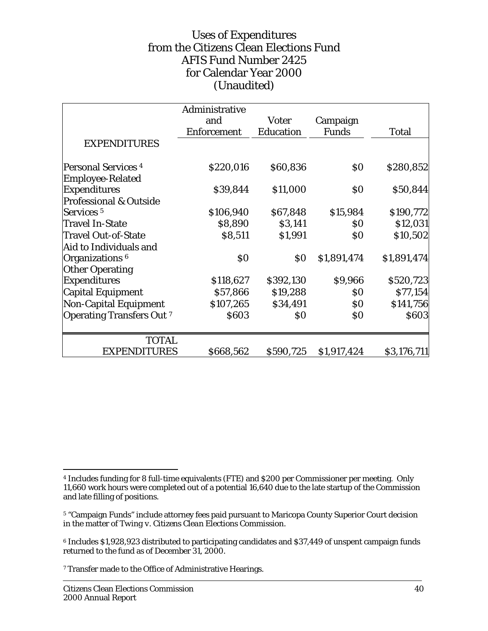## Uses of Expenditures from the Citizens Clean Elections Fund AFIS Fund Number 2425 for Calendar Year 2000 (Unaudited)

|                                   | Administrative     |                   |                   |              |
|-----------------------------------|--------------------|-------------------|-------------------|--------------|
|                                   | and                | <b>Voter</b>      | Campaign          |              |
|                                   | <b>Enforcement</b> | <b>Education</b>  | <b>Funds</b>      | <b>Total</b> |
| <b>EXPENDITURES</b>               |                    |                   |                   |              |
| <b>Personal Services 4</b>        | \$220,016          | \$60,836          | $\boldsymbol{S0}$ | \$280,852    |
| <b>Employee-Related</b>           |                    |                   |                   |              |
| <b>Expenditures</b>               | \$39,844           | \$11,000          | $\boldsymbol{S0}$ | \$50,844     |
| <b>Professional &amp; Outside</b> |                    |                   |                   |              |
| Services <sup>5</sup>             | \$106,940          | \$67,848          | \$15,984          | \$190,772    |
| <b>Travel In-State</b>            | \$8,890            | \$3,141           | \$0               | \$12,031     |
| <b>Travel Out-of-State</b>        | \$8,511            | \$1,991           | \$0               | \$10,502     |
| Aid to Individuals and            |                    |                   |                   |              |
| Organizations <sup>6</sup>        | $\boldsymbol{S0}$  | $\boldsymbol{S0}$ | \$1,891,474       | \$1,891,474  |
| <b>Other Operating</b>            |                    |                   |                   |              |
| <b>Expenditures</b>               | \$118,627          | \$392,130         | \$9,966           | \$520,723    |
| Capital Equipment                 | \$57,866           | \$19,288          | \$0               | \$77,154     |
| <b>Non-Capital Equipment</b>      | \$107,265          | \$34,491          | \$0               | \$141,756    |
| <b>Operating Transfers Out 7</b>  | \$603              | $\boldsymbol{S0}$ | $\boldsymbol{S0}$ | \$603        |
| <b>TOTAL</b>                      |                    |                   |                   |              |
| <b>EXPENDITURES</b>               | \$668,562          | \$590,725         | \$1,917,424       | \$3,176,711  |

 $\overline{a}$ 

<sup>4</sup> Includes funding for 8 full-time equivalents (FTE) and \$200 per Commissioner per meeting. Only 11,660 work hours were completed out of a potential 16,640 due to the late startup of the Commission and late filling of positions.

<sup>5 &</sup>quot;Campaign Funds" include attorney fees paid pursuant to Maricopa County Superior Court decision in the matter of *Twing v. Citizens Clean Elections Commission*.

<sup>6</sup> Includes \$1,928,923 distributed to participating candidates and \$37,449 of unspent campaign funds returned to the fund as of December 31, 2000.

<sup>7</sup> Transfer made to the Office of Administrative Hearings.